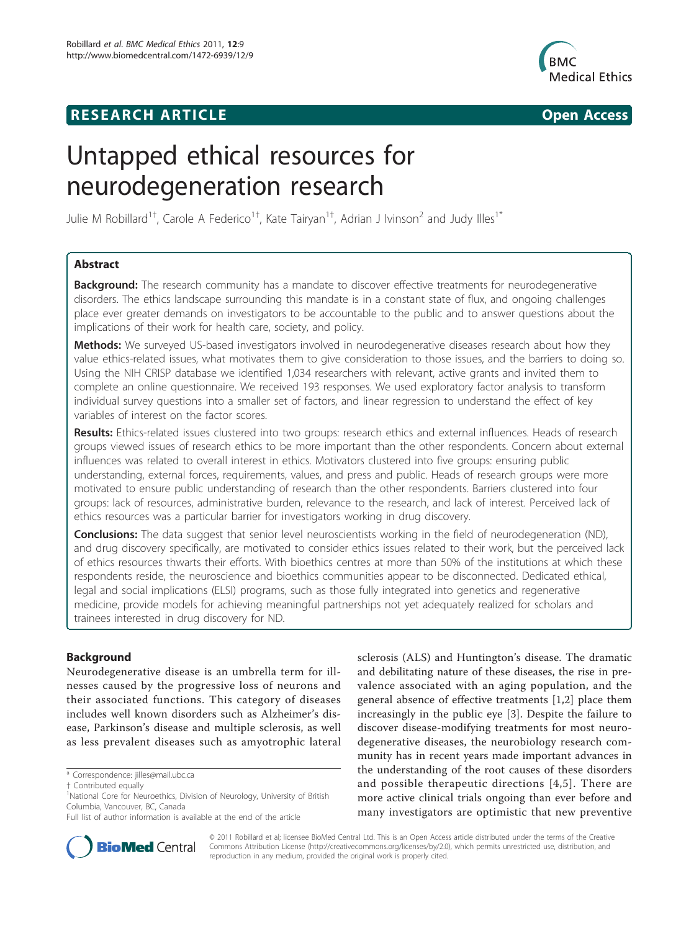## **RESEARCH ARTICLE Example 2014 CONSIDERING ACCESS**



# Untapped ethical resources for neurodegeneration research

Julie M Robillard<sup>1†</sup>, Carole A Federico<sup>1†</sup>, Kate Tairyan<sup>1†</sup>, Adrian J Ivinson<sup>2</sup> and Judy Illes<sup>1\*</sup>

## Abstract

**Background:** The research community has a mandate to discover effective treatments for neurodegenerative disorders. The ethics landscape surrounding this mandate is in a constant state of flux, and ongoing challenges place ever greater demands on investigators to be accountable to the public and to answer questions about the implications of their work for health care, society, and policy.

Methods: We surveyed US-based investigators involved in neurodegenerative diseases research about how they value ethics-related issues, what motivates them to give consideration to those issues, and the barriers to doing so. Using the NIH CRISP database we identified 1,034 researchers with relevant, active grants and invited them to complete an online questionnaire. We received 193 responses. We used exploratory factor analysis to transform individual survey questions into a smaller set of factors, and linear regression to understand the effect of key variables of interest on the factor scores.

Results: Ethics-related issues clustered into two groups: research ethics and external influences. Heads of research groups viewed issues of research ethics to be more important than the other respondents. Concern about external influences was related to overall interest in ethics. Motivators clustered into five groups: ensuring public understanding, external forces, requirements, values, and press and public. Heads of research groups were more motivated to ensure public understanding of research than the other respondents. Barriers clustered into four groups: lack of resources, administrative burden, relevance to the research, and lack of interest. Perceived lack of ethics resources was a particular barrier for investigators working in drug discovery.

Conclusions: The data suggest that senior level neuroscientists working in the field of neurodegeneration (ND), and drug discovery specifically, are motivated to consider ethics issues related to their work, but the perceived lack of ethics resources thwarts their efforts. With bioethics centres at more than 50% of the institutions at which these respondents reside, the neuroscience and bioethics communities appear to be disconnected. Dedicated ethical, legal and social implications (ELSI) programs, such as those fully integrated into genetics and regenerative medicine, provide models for achieving meaningful partnerships not yet adequately realized for scholars and trainees interested in drug discovery for ND.

## Background

Neurodegenerative disease is an umbrella term for illnesses caused by the progressive loss of neurons and their associated functions. This category of diseases includes well known disorders such as Alzheimer's disease, Parkinson's disease and multiple sclerosis, as well as less prevalent diseases such as amyotrophic lateral

\* Correspondence: [jilles@mail.ubc.ca](mailto:jilles@mail.ubc.ca)

sclerosis (ALS) and Huntington's disease. The dramatic and debilitating nature of these diseases, the rise in prevalence associated with an aging population, and the general absence of effective treatments [[1,2](#page-6-0)] place them increasingly in the public eye [[3](#page-6-0)]. Despite the failure to discover disease-modifying treatments for most neurodegenerative diseases, the neurobiology research community has in recent years made important advances in the understanding of the root causes of these disorders and possible therapeutic directions [[4,5\]](#page-6-0). There are more active clinical trials ongoing than ever before and many investigators are optimistic that new preventive



© 2011 Robillard et al; licensee BioMed Central Ltd. This is an Open Access article distributed under the terms of the Creative Commons Attribution License [\(http://creativecommons.org/licenses/by/2.0](http://creativecommons.org/licenses/by/2.0)), which permits unrestricted use, distribution, and reproduction in any medium, provided the original work is properly cited.

<sup>†</sup> Contributed equally <sup>1</sup>

<sup>&</sup>lt;sup>1</sup>National Core for Neuroethics, Division of Neurology, University of British Columbia, Vancouver, BC, Canada

Full list of author information is available at the end of the article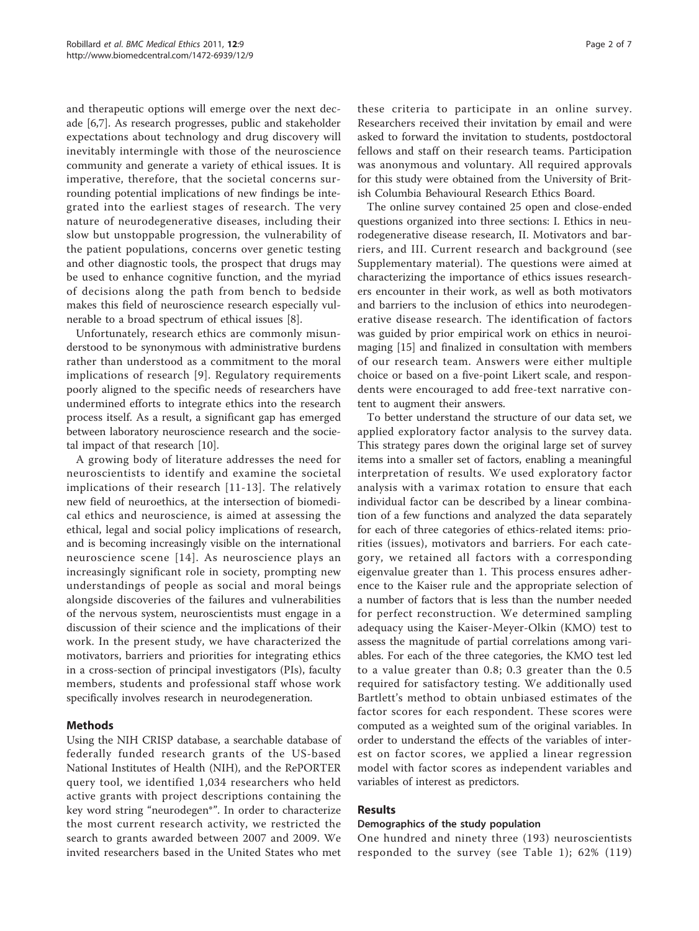and therapeutic options will emerge over the next decade [\[6,7](#page-6-0)]. As research progresses, public and stakeholder expectations about technology and drug discovery will inevitably intermingle with those of the neuroscience community and generate a variety of ethical issues. It is imperative, therefore, that the societal concerns surrounding potential implications of new findings be integrated into the earliest stages of research. The very nature of neurodegenerative diseases, including their slow but unstoppable progression, the vulnerability of the patient populations, concerns over genetic testing and other diagnostic tools, the prospect that drugs may be used to enhance cognitive function, and the myriad of decisions along the path from bench to bedside makes this field of neuroscience research especially vulnerable to a broad spectrum of ethical issues [[8\]](#page-6-0).

Unfortunately, research ethics are commonly misunderstood to be synonymous with administrative burdens rather than understood as a commitment to the moral implications of research [[9\]](#page-6-0). Regulatory requirements poorly aligned to the specific needs of researchers have undermined efforts to integrate ethics into the research process itself. As a result, a significant gap has emerged between laboratory neuroscience research and the societal impact of that research [[10](#page-6-0)].

A growing body of literature addresses the need for neuroscientists to identify and examine the societal implications of their research [[11-13](#page-6-0)]. The relatively new field of neuroethics, at the intersection of biomedical ethics and neuroscience, is aimed at assessing the ethical, legal and social policy implications of research, and is becoming increasingly visible on the international neuroscience scene [[14](#page-6-0)]. As neuroscience plays an increasingly significant role in society, prompting new understandings of people as social and moral beings alongside discoveries of the failures and vulnerabilities of the nervous system, neuroscientists must engage in a discussion of their science and the implications of their work. In the present study, we have characterized the motivators, barriers and priorities for integrating ethics in a cross-section of principal investigators (PIs), faculty members, students and professional staff whose work specifically involves research in neurodegeneration.

## Methods

Using the NIH CRISP database, a searchable database of federally funded research grants of the US-based National Institutes of Health (NIH), and the RePORTER query tool, we identified 1,034 researchers who held active grants with project descriptions containing the key word string "neurodegen\*". In order to characterize the most current research activity, we restricted the search to grants awarded between 2007 and 2009. We invited researchers based in the United States who met

these criteria to participate in an online survey. Researchers received their invitation by email and were asked to forward the invitation to students, postdoctoral fellows and staff on their research teams. Participation was anonymous and voluntary. All required approvals for this study were obtained from the University of British Columbia Behavioural Research Ethics Board.

The online survey contained 25 open and close-ended questions organized into three sections: I. Ethics in neurodegenerative disease research, II. Motivators and barriers, and III. Current research and background (see Supplementary material). The questions were aimed at characterizing the importance of ethics issues researchers encounter in their work, as well as both motivators and barriers to the inclusion of ethics into neurodegenerative disease research. The identification of factors was guided by prior empirical work on ethics in neuroimaging [\[15](#page-6-0)] and finalized in consultation with members of our research team. Answers were either multiple choice or based on a five-point Likert scale, and respondents were encouraged to add free-text narrative content to augment their answers.

To better understand the structure of our data set, we applied exploratory factor analysis to the survey data. This strategy pares down the original large set of survey items into a smaller set of factors, enabling a meaningful interpretation of results. We used exploratory factor analysis with a varimax rotation to ensure that each individual factor can be described by a linear combination of a few functions and analyzed the data separately for each of three categories of ethics-related items: priorities (issues), motivators and barriers. For each category, we retained all factors with a corresponding eigenvalue greater than 1. This process ensures adherence to the Kaiser rule and the appropriate selection of a number of factors that is less than the number needed for perfect reconstruction. We determined sampling adequacy using the Kaiser-Meyer-Olkin (KMO) test to assess the magnitude of partial correlations among variables. For each of the three categories, the KMO test led to a value greater than 0.8; 0.3 greater than the 0.5 required for satisfactory testing. We additionally used Bartlett's method to obtain unbiased estimates of the factor scores for each respondent. These scores were computed as a weighted sum of the original variables. In order to understand the effects of the variables of interest on factor scores, we applied a linear regression model with factor scores as independent variables and variables of interest as predictors.

## Results

#### Demographics of the study population

One hundred and ninety three (193) neuroscientists responded to the survey (see Table [1](#page-2-0)); 62% (119)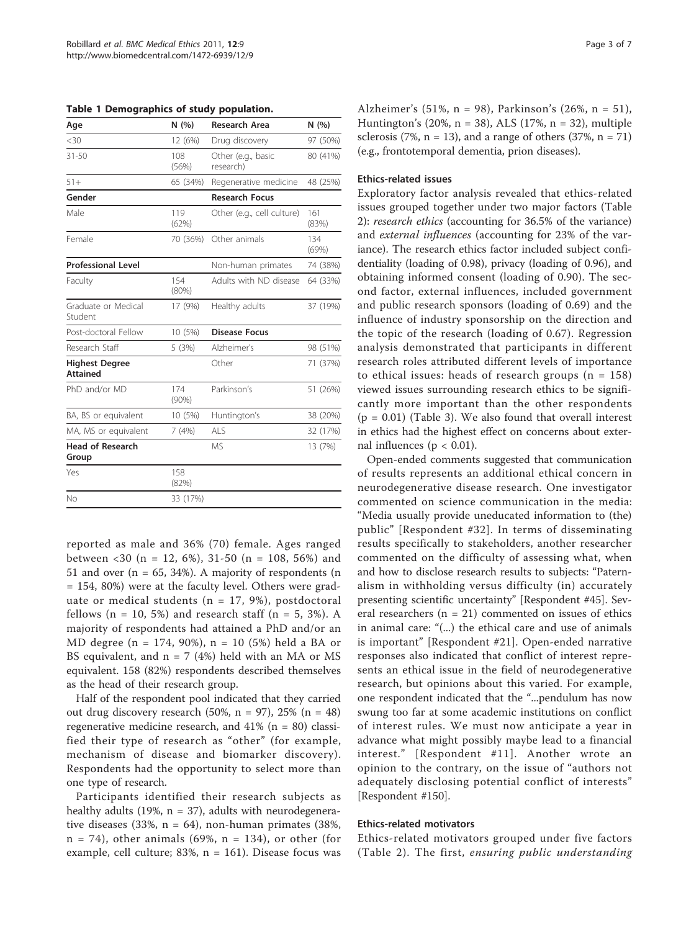<span id="page-2-0"></span>

|  | Table 1 Demographics of study population. |  |  |
|--|-------------------------------------------|--|--|
|--|-------------------------------------------|--|--|

| Age                                      | N(%)            | <b>Research Area</b>            | N(%)         |  |
|------------------------------------------|-----------------|---------------------------------|--------------|--|
| <30                                      | 12 (6%)         | Drug discovery                  | 97 (50%)     |  |
| $31 - 50$                                | 108<br>(56%)    | Other (e.g., basic<br>research) | 80 (41%)     |  |
| $51+$                                    | 65 (34%)        | Regenerative medicine           | 48 (25%)     |  |
| Gender                                   |                 | <b>Research Focus</b>           |              |  |
| Male                                     | 119<br>(62%)    | Other (e.g., cell culture)      | 161<br>(83%) |  |
| Female                                   | 70 (36%)        | Other animals                   | 134<br>(69%) |  |
| <b>Professional Level</b>                |                 | Non-human primates              | 74 (38%)     |  |
| Faculty                                  | 154<br>(80%)    | Adults with ND disease          | 64 (33%)     |  |
| Graduate or Medical<br>Student           | 17 (9%)         | Healthy adults                  | 37 (19%)     |  |
| Post-doctoral Fellow                     | 10(5%)          | <b>Disease Focus</b>            |              |  |
| Research Staff                           | 5(3%)           | Alzheimer's                     | 98 (51%)     |  |
| <b>Highest Degree</b><br><b>Attained</b> |                 | Other                           | 71 (37%)     |  |
| PhD and/or MD                            | 174<br>$(90\%)$ | Parkinson's                     | 51 (26%)     |  |
| BA, BS or equivalent                     | 10 (5%)         | Huntington's                    | 38 (20%)     |  |
| MA, MS or equivalent                     | 7(4%)           | ALS                             | 32 (17%)     |  |
| <b>Head of Research</b><br>Group         |                 | <b>MS</b>                       | 13 (7%)      |  |
| Yes                                      | 158<br>(82%)    |                                 |              |  |
| No                                       | 33 (17%)        |                                 |              |  |
|                                          |                 |                                 |              |  |

reported as male and 36% (70) female. Ages ranged between <30 (n = 12, 6%), 31-50 (n = 108, 56%) and 51 and over ( $n = 65$ , 34%). A majority of respondents ( $n$ = 154, 80%) were at the faculty level. Others were graduate or medical students ( $n = 17, 9\%)$ , postdoctoral fellows ( $n = 10, 5\%$ ) and research staff ( $n = 5, 3\%$ ). A majority of respondents had attained a PhD and/or an MD degree (n = 174, 90%), n = 10 (5%) held a BA or BS equivalent, and  $n = 7$  (4%) held with an MA or MS equivalent. 158 (82%) respondents described themselves as the head of their research group.

Half of the respondent pool indicated that they carried out drug discovery research  $(50\% , n = 97)$ ,  $25\%$   $(n = 48)$ regenerative medicine research, and  $41\%$  (n = 80) classified their type of research as "other" (for example, mechanism of disease and biomarker discovery). Respondents had the opportunity to select more than one type of research.

Participants identified their research subjects as healthy adults (19%, n = 37), adults with neurodegenerative diseases (33%,  $n = 64$ ), non-human primates (38%,  $n = 74$ ), other animals (69%,  $n = 134$ ), or other (for example, cell culture; 83%,  $n = 161$ ). Disease focus was Alzheimer's (51%, n = 98), Parkinson's (26%, n = 51), Huntington's (20%,  $n = 38$ ), ALS (17%,  $n = 32$ ), multiple sclerosis (7%,  $n = 13$ ), and a range of others (37%,  $n = 71$ ) (e.g., frontotemporal dementia, prion diseases).

#### Ethics-related issues

Exploratory factor analysis revealed that ethics-related issues grouped together under two major factors (Table [2\)](#page-3-0): research ethics (accounting for 36.5% of the variance) and external influences (accounting for 23% of the variance). The research ethics factor included subject confidentiality (loading of 0.98), privacy (loading of 0.96), and obtaining informed consent (loading of 0.90). The second factor, external influences, included government and public research sponsors (loading of 0.69) and the influence of industry sponsorship on the direction and the topic of the research (loading of 0.67). Regression analysis demonstrated that participants in different research roles attributed different levels of importance to ethical issues: heads of research groups  $(n = 158)$ viewed issues surrounding research ethics to be significantly more important than the other respondents  $(p = 0.01)$  (Table [3\)](#page-4-0). We also found that overall interest in ethics had the highest effect on concerns about external influences ( $p < 0.01$ ).

Open-ended comments suggested that communication of results represents an additional ethical concern in neurodegenerative disease research. One investigator commented on science communication in the media: "Media usually provide uneducated information to (the) public" [Respondent #32]. In terms of disseminating results specifically to stakeholders, another researcher commented on the difficulty of assessing what, when and how to disclose research results to subjects: "Paternalism in withholding versus difficulty (in) accurately presenting scientific uncertainty" [Respondent #45]. Several researchers  $(n = 21)$  commented on issues of ethics in animal care: "(...) the ethical care and use of animals is important" [Respondent #21]. Open-ended narrative responses also indicated that conflict of interest represents an ethical issue in the field of neurodegenerative research, but opinions about this varied. For example, one respondent indicated that the "...pendulum has now swung too far at some academic institutions on conflict of interest rules. We must now anticipate a year in advance what might possibly maybe lead to a financial interest." [Respondent #11]. Another wrote an opinion to the contrary, on the issue of "authors not adequately disclosing potential conflict of interests" [Respondent #150].

#### Ethics-related motivators

Ethics-related motivators grouped under five factors (Table [2](#page-3-0)). The first, ensuring public understanding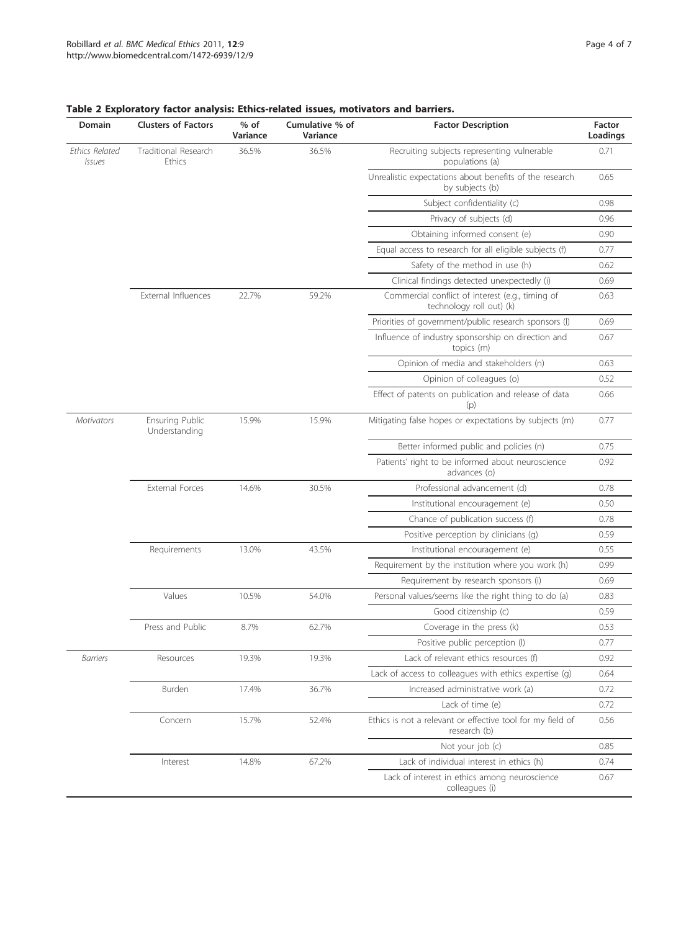| Domain                          | <b>Clusters of Factors</b>       | $%$ of<br>Variance | Cumulative % of<br>Variance | <b>Factor Description</b>                                                    | Factor<br>Loadings |  |
|---------------------------------|----------------------------------|--------------------|-----------------------------|------------------------------------------------------------------------------|--------------------|--|
| <b>Ethics Related</b><br>Issues | Traditional Research<br>Ethics   | 36.5%              | 36.5%                       | Recruiting subjects representing vulnerable<br>populations (a)               | 0.71               |  |
|                                 |                                  |                    |                             | Unrealistic expectations about benefits of the research<br>by subjects (b)   | 0.65               |  |
|                                 |                                  |                    |                             | Subject confidentiality (c)                                                  | 0.98               |  |
|                                 |                                  |                    |                             | Privacy of subjects (d)                                                      | 0.96               |  |
|                                 |                                  |                    |                             | Obtaining informed consent (e)                                               | 0.90               |  |
|                                 |                                  |                    |                             | Equal access to research for all eligible subjects (f)                       | 0.77               |  |
|                                 |                                  |                    |                             | Safety of the method in use (h)                                              | 0.62               |  |
|                                 |                                  |                    |                             | Clinical findings detected unexpectedly (i)                                  | 0.69               |  |
|                                 | External Influences              | 22.7%              | 59.2%                       | Commercial conflict of interest (e.g., timing of<br>technology roll out) (k) | 0.63               |  |
|                                 |                                  |                    |                             | Priorities of government/public research sponsors (I)                        | 0.69               |  |
|                                 |                                  |                    |                             | Influence of industry sponsorship on direction and<br>topics (m)             | 0.67               |  |
|                                 |                                  |                    |                             | Opinion of media and stakeholders (n)                                        | 0.63               |  |
|                                 |                                  |                    |                             | Opinion of colleagues (o)                                                    | 0.52               |  |
|                                 |                                  |                    |                             | Effect of patents on publication and release of data<br>(D)                  | 0.66               |  |
| <b>Motivators</b>               | Ensuring Public<br>Understanding | 15.9%              | 15.9%                       | Mitigating false hopes or expectations by subjects (m)                       | 0.77               |  |
|                                 |                                  |                    |                             | Better informed public and policies (n)                                      | 0.75               |  |
|                                 |                                  |                    |                             | Patients' right to be informed about neuroscience<br>advances (o)            | 0.92               |  |
|                                 | <b>External Forces</b>           | 14.6%              | 30.5%                       | Professional advancement (d)                                                 | 0.78               |  |
|                                 |                                  |                    |                             | Institutional encouragement (e)                                              | 0.50               |  |
|                                 |                                  |                    |                             | Chance of publication success (f)                                            | 0.78               |  |
|                                 |                                  |                    |                             | Positive perception by clinicians (g)                                        | 0.59               |  |
|                                 | Requirements                     | 13.0%              | 43.5%                       | Institutional encouragement (e)                                              | 0.55               |  |
|                                 |                                  |                    |                             | Requirement by the institution where you work (h)                            | 0.99               |  |
|                                 |                                  |                    |                             | Requirement by research sponsors (i)                                         | 0.69               |  |
|                                 | Values                           | 10.5%              | 54.0%                       | Personal values/seems like the right thing to do (a)                         | 0.83               |  |
|                                 |                                  |                    |                             | Good citizenship (c)                                                         | 0.59               |  |
|                                 | Press and Public                 | 8.7%               | 62.7%                       | Coverage in the press (k)                                                    | 0.53               |  |
|                                 |                                  |                    |                             | Positive public perception (I)                                               | 0.77               |  |
| Barriers                        | Resources                        | 19.3%              | 19.3%                       | Lack of relevant ethics resources (f)                                        | 0.92               |  |
|                                 |                                  |                    |                             | Lack of access to colleagues with ethics expertise (g)                       | 0.64               |  |
|                                 | Burden                           | 17.4%              | 36.7%                       | Increased administrative work (a)                                            | 0.72               |  |
|                                 |                                  |                    |                             | Lack of time (e)                                                             | 0.72               |  |
|                                 | Concern                          | 15.7%              | 52.4%                       | Ethics is not a relevant or effective tool for my field of<br>research (b)   | 0.56               |  |
|                                 |                                  |                    |                             | Not your job (c)                                                             | 0.85               |  |
|                                 | Interest                         | 14.8%              | 67.2%                       | Lack of individual interest in ethics (h)                                    | 0.74               |  |
|                                 |                                  |                    |                             | Lack of interest in ethics among neuroscience<br>colleagues (i)              | 0.67               |  |

## <span id="page-3-0"></span>Table 2 Exploratory factor analysis: Ethics-related issues, motivators and barriers.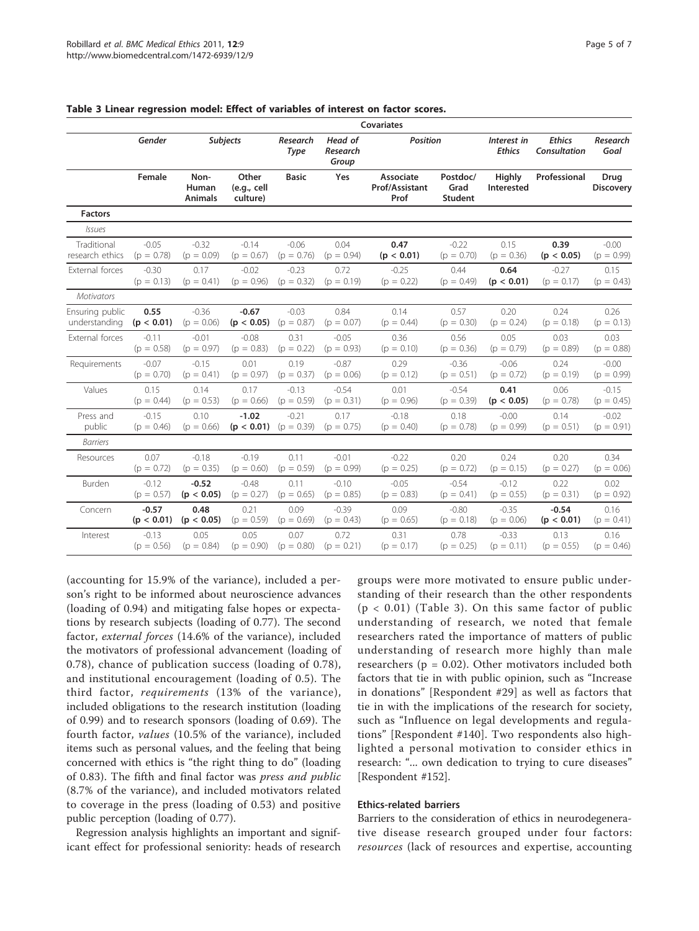|                 | <b>Covariates</b> |                                 |                                   |                         |                              |                                     |                                    |                              |                               |                          |
|-----------------|-------------------|---------------------------------|-----------------------------------|-------------------------|------------------------------|-------------------------------------|------------------------------------|------------------------------|-------------------------------|--------------------------|
|                 | Gender            |                                 | <b>Subjects</b>                   | Research<br><b>Type</b> | Head of<br>Research<br>Group | <b>Position</b>                     |                                    | Interest in<br><b>Ethics</b> | <b>Ethics</b><br>Consultation | Research<br>Goal         |
|                 | Female            | Non-<br>Human<br><b>Animals</b> | Other<br>(e.g., cell)<br>culture) | <b>Basic</b>            | Yes                          | Associate<br>Prof/Assistant<br>Prof | Postdoc/<br>Grad<br><b>Student</b> | Highly<br>Interested         | Professional                  | Drug<br><b>Discovery</b> |
| <b>Factors</b>  |                   |                                 |                                   |                         |                              |                                     |                                    |                              |                               |                          |
| Issues          |                   |                                 |                                   |                         |                              |                                     |                                    |                              |                               |                          |
| Traditional     | $-0.05$           | $-0.32$                         | $-0.14$                           | $-0.06$                 | 0.04                         | 0.47                                | $-0.22$                            | 0.15                         | 0.39                          | $-0.00$                  |
| research ethics | $(p = 0.78)$      | $(p = 0.09)$                    | $(p = 0.67)$                      | $(p = 0.76)$            | $(p = 0.94)$                 | (p < 0.01)                          | $(p = 0.70)$                       | $(p = 0.36)$                 | (p < 0.05)                    | $(p = 0.99)$             |
| External forces | $-0.30$           | 0.17                            | $-0.02$                           | $-0.23$                 | 0.72                         | $-0.25$                             | 0.44                               | 0.64                         | $-0.27$                       | 0.15                     |
|                 | $(p = 0.13)$      | $(p = 0.41)$                    | $(p = 0.96)$                      | $(p = 0.32)$            | $(p = 0.19)$                 | $(p = 0.22)$                        | $(p = 0.49)$                       | (p < 0.01)                   | $(p = 0.17)$                  | $(p = 0.43)$             |
| Motivators      |                   |                                 |                                   |                         |                              |                                     |                                    |                              |                               |                          |
| Ensuring public | 0.55              | $-0.36$                         | $-0.67$                           | $-0.03$                 | 0.84                         | 0.14                                | 0.57                               | 0.20                         | 0.24                          | 0.26                     |
| understanding   | (p < 0.01)        | $(p = 0.06)$                    | (p < 0.05)                        | $(p = 0.87)$            | $(p = 0.07)$                 | $(p = 0.44)$                        | $(p = 0.30)$                       | $(p = 0.24)$                 | $(p = 0.18)$                  | $(p = 0.13)$             |
| External forces | $-0.11$           | $-0.01$                         | $-0.08$                           | 0.31                    | $-0.05$                      | 0.36                                | 0.56                               | 0.05                         | 0.03                          | 0.03                     |
|                 | $(p = 0.58)$      | $(p = 0.97)$                    | $(p = 0.83)$                      | $(p = 0.22)$            | $(p = 0.93)$                 | $(p = 0.10)$                        | $(p = 0.36)$                       | $(p = 0.79)$                 | $(p = 0.89)$                  | $(p = 0.88)$             |
| Requirements    | $-0.07$           | $-0.15$                         | 0.01                              | 0.19                    | $-0.87$                      | 0.29                                | $-0.36$                            | $-0.06$                      | 0.24                          | $-0.00$                  |
|                 | $(p = 0.70)$      | $(p = 0.41)$                    | $(p = 0.97)$                      | $(p = 0.37)$            | $(p = 0.06)$                 | $(p = 0.12)$                        | $(p = 0.51)$                       | $(p = 0.72)$                 | $(p = 0.19)$                  | $(p = 0.99)$             |
| Values          | 0.15              | 0.14                            | 0.17                              | $-0.13$                 | $-0.54$                      | 0.01                                | $-0.54$                            | 0.41                         | 0.06                          | $-0.15$                  |
|                 | $(p = 0.44)$      | $(p = 0.53)$                    | $(p = 0.66)$                      | $(p = 0.59)$            | $(p = 0.31)$                 | $(p = 0.96)$                        | $(p = 0.39)$                       | (p < 0.05)                   | $(p = 0.78)$                  | $(p = 0.45)$             |
| Press and       | $-0.15$           | 0.10                            | $-1.02$                           | $-0.21$                 | 0.17                         | $-0.18$                             | 0.18                               | $-0.00$                      | 0.14                          | $-0.02$                  |
| public          | $(p = 0.46)$      | $(p = 0.66)$                    | (p < 0.01)                        | $(p = 0.39)$            | $(p = 0.75)$                 | $(p = 0.40)$                        | $(p = 0.78)$                       | $(p = 0.99)$                 | $(p = 0.51)$                  | $(p = 0.91)$             |
| <b>Barriers</b> |                   |                                 |                                   |                         |                              |                                     |                                    |                              |                               |                          |
| Resources       | 0.07              | $-0.18$                         | $-0.19$                           | 0.11                    | $-0.01$                      | $-0.22$                             | 0.20                               | 0.24                         | 0.20                          | 0.34                     |
|                 | $(p = 0.72)$      | $(p = 0.35)$                    | $(p = 0.60)$                      | $(p = 0.59)$            | $(p = 0.99)$                 | $(p = 0.25)$                        | $(p = 0.72)$                       | $(p = 0.15)$                 | $(p = 0.27)$                  | $(p = 0.06)$             |
| Burden          | $-0.12$           | $-0.52$                         | $-0.48$                           | 0.11                    | $-0.10$                      | $-0.05$                             | $-0.54$                            | $-0.12$                      | 0.22                          | 0.02                     |
|                 | $(p = 0.57)$      | (p < 0.05)                      | $(p = 0.27)$                      | $(p = 0.65)$            | $(p = 0.85)$                 | $(p = 0.83)$                        | $(p = 0.41)$                       | $(p = 0.55)$                 | $(p = 0.31)$                  | $(p = 0.92)$             |
| Concern         | $-0.57$           | 0.48                            | 0.21                              | 0.09                    | $-0.39$                      | 0.09                                | $-0.80$                            | $-0.35$                      | $-0.54$                       | 0.16                     |
|                 | (p < 0.01)        | (p < 0.05)                      | $(p = 0.59)$                      | $(p = 0.69)$            | $(p = 0.43)$                 | $(p = 0.65)$                        | $(p = 0.18)$                       | $(p = 0.06)$                 | (p < 0.01)                    | $(p = 0.41)$             |
| Interest        | $-0.13$           | 0.05                            | 0.05                              | 0.07                    | 0.72                         | 0.31                                | 0.78                               | $-0.33$                      | 0.13                          | 0.16                     |
|                 | $(p = 0.56)$      | $(p = 0.84)$                    | $(p = 0.90)$                      | $(p = 0.80)$            | $(p = 0.21)$                 | $(p = 0.17)$                        | $(p = 0.25)$                       | $(p = 0.11)$                 | $(p = 0.55)$                  | $(p = 0.46)$             |

#### <span id="page-4-0"></span>Table 3 Linear regression model: Effect of variables of interest on factor scores.

(accounting for 15.9% of the variance), included a person's right to be informed about neuroscience advances (loading of 0.94) and mitigating false hopes or expectations by research subjects (loading of 0.77). The second factor, external forces (14.6% of the variance), included the motivators of professional advancement (loading of 0.78), chance of publication success (loading of 0.78), and institutional encouragement (loading of 0.5). The third factor, requirements (13% of the variance), included obligations to the research institution (loading of 0.99) and to research sponsors (loading of 0.69). The fourth factor, values (10.5% of the variance), included items such as personal values, and the feeling that being concerned with ethics is "the right thing to do" (loading of 0.83). The fifth and final factor was press and public (8.7% of the variance), and included motivators related to coverage in the press (loading of 0.53) and positive public perception (loading of 0.77).

Regression analysis highlights an important and significant effect for professional seniority: heads of research groups were more motivated to ensure public understanding of their research than the other respondents  $(p < 0.01)$  (Table 3). On this same factor of public understanding of research, we noted that female researchers rated the importance of matters of public understanding of research more highly than male researchers ( $p = 0.02$ ). Other motivators included both factors that tie in with public opinion, such as "Increase in donations" [Respondent #29] as well as factors that tie in with the implications of the research for society, such as "Influence on legal developments and regulations" [Respondent #140]. Two respondents also highlighted a personal motivation to consider ethics in research: "... own dedication to trying to cure diseases" [Respondent #152].

### Ethics-related barriers

Barriers to the consideration of ethics in neurodegenerative disease research grouped under four factors: resources (lack of resources and expertise, accounting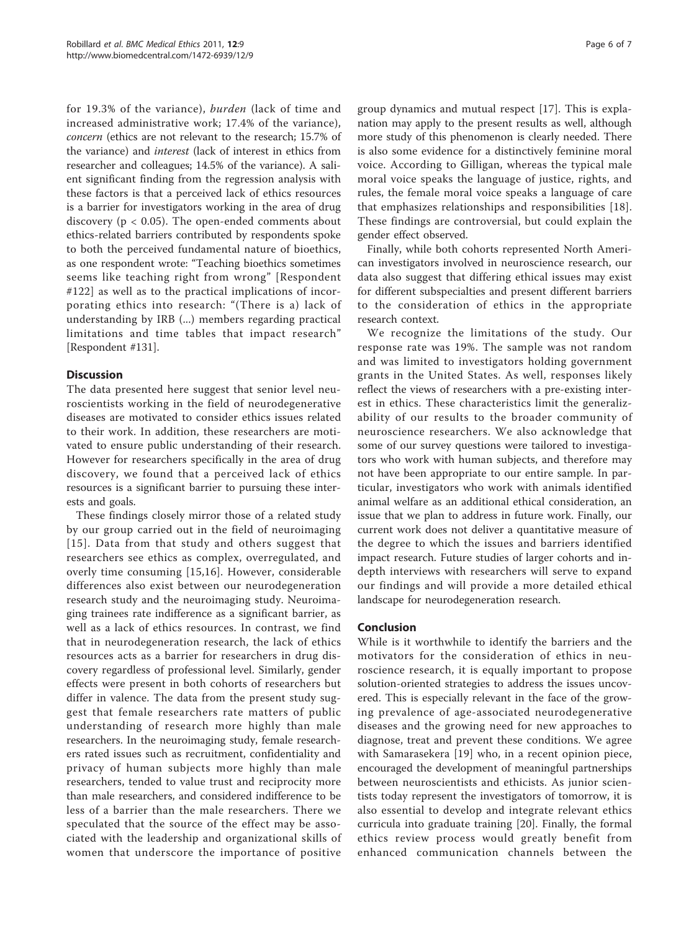for 19.3% of the variance), burden (lack of time and increased administrative work; 17.4% of the variance), concern (ethics are not relevant to the research; 15.7% of the variance) and interest (lack of interest in ethics from researcher and colleagues; 14.5% of the variance). A salient significant finding from the regression analysis with these factors is that a perceived lack of ethics resources is a barrier for investigators working in the area of drug discovery ( $p < 0.05$ ). The open-ended comments about ethics-related barriers contributed by respondents spoke to both the perceived fundamental nature of bioethics, as one respondent wrote: "Teaching bioethics sometimes seems like teaching right from wrong" [Respondent #122] as well as to the practical implications of incorporating ethics into research: "(There is a) lack of understanding by IRB (...) members regarding practical limitations and time tables that impact research" [Respondent #131].

## **Discussion**

The data presented here suggest that senior level neuroscientists working in the field of neurodegenerative diseases are motivated to consider ethics issues related to their work. In addition, these researchers are motivated to ensure public understanding of their research. However for researchers specifically in the area of drug discovery, we found that a perceived lack of ethics resources is a significant barrier to pursuing these interests and goals.

These findings closely mirror those of a related study by our group carried out in the field of neuroimaging [[15](#page-6-0)]. Data from that study and others suggest that researchers see ethics as complex, overregulated, and overly time consuming [[15,16\]](#page-6-0). However, considerable differences also exist between our neurodegeneration research study and the neuroimaging study. Neuroimaging trainees rate indifference as a significant barrier, as well as a lack of ethics resources. In contrast, we find that in neurodegeneration research, the lack of ethics resources acts as a barrier for researchers in drug discovery regardless of professional level. Similarly, gender effects were present in both cohorts of researchers but differ in valence. The data from the present study suggest that female researchers rate matters of public understanding of research more highly than male researchers. In the neuroimaging study, female researchers rated issues such as recruitment, confidentiality and privacy of human subjects more highly than male researchers, tended to value trust and reciprocity more than male researchers, and considered indifference to be less of a barrier than the male researchers. There we speculated that the source of the effect may be associated with the leadership and organizational skills of women that underscore the importance of positive

group dynamics and mutual respect [[17\]](#page-6-0). This is explanation may apply to the present results as well, although more study of this phenomenon is clearly needed. There is also some evidence for a distinctively feminine moral voice. According to Gilligan, whereas the typical male moral voice speaks the language of justice, rights, and rules, the female moral voice speaks a language of care that emphasizes relationships and responsibilities [[18](#page-6-0)]. These findings are controversial, but could explain the gender effect observed.

Finally, while both cohorts represented North American investigators involved in neuroscience research, our data also suggest that differing ethical issues may exist for different subspecialties and present different barriers to the consideration of ethics in the appropriate research context.

We recognize the limitations of the study. Our response rate was 19%. The sample was not random and was limited to investigators holding government grants in the United States. As well, responses likely reflect the views of researchers with a pre-existing interest in ethics. These characteristics limit the generalizability of our results to the broader community of neuroscience researchers. We also acknowledge that some of our survey questions were tailored to investigators who work with human subjects, and therefore may not have been appropriate to our entire sample. In particular, investigators who work with animals identified animal welfare as an additional ethical consideration, an issue that we plan to address in future work. Finally, our current work does not deliver a quantitative measure of the degree to which the issues and barriers identified impact research. Future studies of larger cohorts and indepth interviews with researchers will serve to expand our findings and will provide a more detailed ethical landscape for neurodegeneration research.

### Conclusion

While is it worthwhile to identify the barriers and the motivators for the consideration of ethics in neuroscience research, it is equally important to propose solution-oriented strategies to address the issues uncovered. This is especially relevant in the face of the growing prevalence of age-associated neurodegenerative diseases and the growing need for new approaches to diagnose, treat and prevent these conditions. We agree with Samarasekera [[19](#page-6-0)] who, in a recent opinion piece, encouraged the development of meaningful partnerships between neuroscientists and ethicists. As junior scientists today represent the investigators of tomorrow, it is also essential to develop and integrate relevant ethics curricula into graduate training [\[20](#page-6-0)]. Finally, the formal ethics review process would greatly benefit from enhanced communication channels between the